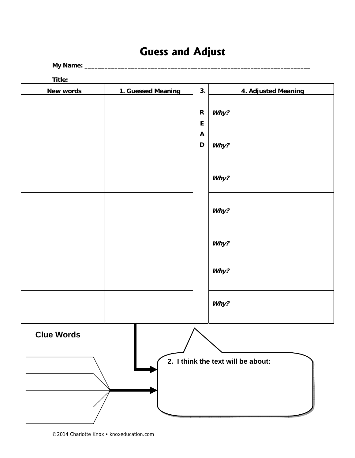# **Guess and Adjust**

**My Name:** \_\_\_\_\_\_\_\_\_\_\_\_\_\_\_\_\_\_\_\_\_\_\_\_\_\_\_\_\_\_\_\_\_\_\_\_\_\_\_\_\_\_\_\_\_\_\_\_\_\_\_\_\_\_\_\_\_\_\_\_\_\_\_\_\_\_\_\_

**Title:** 

|                   | $\mathbf R$<br>$\mathsf E$     | Why?                               |
|-------------------|--------------------------------|------------------------------------|
|                   | $\boldsymbol{\mathsf{A}}$<br>D | Why?                               |
|                   |                                | Why?                               |
|                   |                                | Why?                               |
|                   |                                | Why?                               |
|                   |                                | Why?                               |
|                   |                                | Why?                               |
| <b>Clue Words</b> |                                | 2. I think the text will be about: |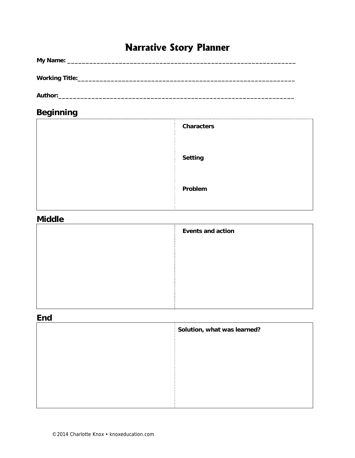# **Narrative Story Planner**

| <b>Beginning</b> |                             |
|------------------|-----------------------------|
|                  | <b>Characters</b>           |
|                  |                             |
|                  | <b>Setting</b>              |
|                  |                             |
|                  | Problem                     |
| <b>Middle</b>    |                             |
|                  | <b>Events and action</b>    |
|                  |                             |
|                  |                             |
|                  |                             |
|                  |                             |
| <b>End</b>       |                             |
|                  | Solution, what was learned? |
|                  |                             |
|                  |                             |
|                  |                             |
|                  |                             |
|                  |                             |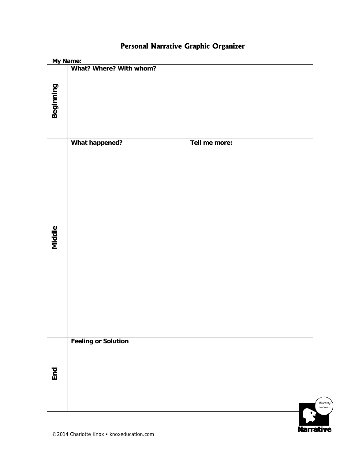| My Name:  |                                 |                        |
|-----------|---------------------------------|------------------------|
|           | What? Where? With whom?         |                        |
| Beginning |                                 |                        |
| Middle    | What happened?<br>Tell me more: |                        |
| End       | <b>Feeling or Solution</b>      | This story<br>is about |

**Narrative** 

#### **Personal Narrative Graphic Organizer**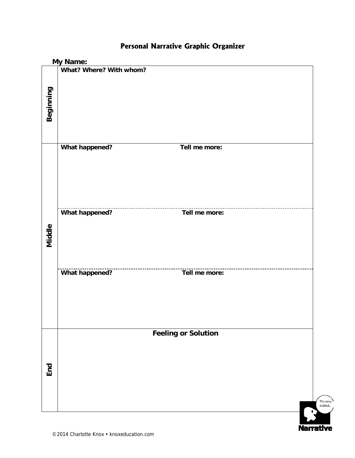|           | <b>My Name:</b>         |                                  |                        |
|-----------|-------------------------|----------------------------------|------------------------|
|           | What? Where? With whom? |                                  |                        |
| Beginning |                         |                                  |                        |
|           |                         |                                  |                        |
|           | <b>What happened?</b>   | Tell me more:                    |                        |
| Middle    | <b>What happened?</b>   | Tell me more:                    |                        |
|           | <b>What happened?</b>   | ---------------<br>Tell me more: |                        |
|           |                         | <b>Feeling or Solution</b>       |                        |
| End       |                         |                                  |                        |
|           |                         |                                  | This story<br>is about |

**Narrative** 

#### **Personal Narrative Graphic Organizer**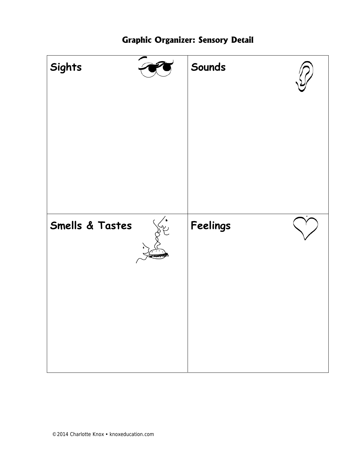

#### **Graphic Organizer: Sensory Detail**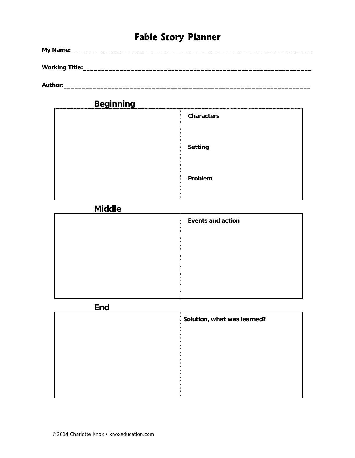### **Fable Story Planner**

| My Name:               |  |  |  |
|------------------------|--|--|--|
| <b>Working Title:_</b> |  |  |  |

**Author:\_\_\_\_\_\_\_\_\_\_\_\_\_\_\_\_\_\_\_\_\_\_\_\_\_\_\_\_\_\_\_\_\_\_\_\_\_\_\_\_\_\_\_\_\_\_\_\_\_\_\_\_\_\_\_\_\_\_\_\_\_\_\_\_\_\_\_** 

| <b>Beginning</b> |                   |
|------------------|-------------------|
|                  | <b>Characters</b> |
|                  |                   |
|                  |                   |
|                  | <b>Setting</b>    |
|                  |                   |
|                  | Problem           |
|                  |                   |
|                  |                   |

#### **Middle**

| <b>Events and action</b> |
|--------------------------|
|                          |
|                          |
|                          |
|                          |
|                          |

**End** 

| Solution, what was learned?<br>Ŧ. |
|-----------------------------------|
|                                   |
|                                   |
|                                   |
|                                   |
|                                   |
|                                   |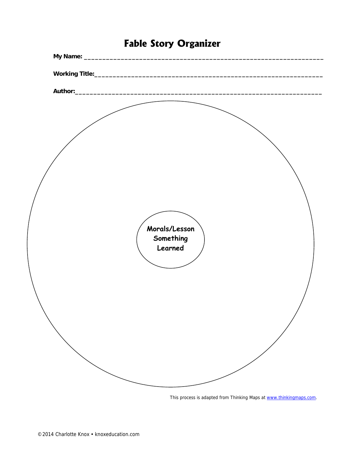| Morals/Lesson<br>Something<br>Learned |  |
|---------------------------------------|--|
|                                       |  |
|                                       |  |
|                                       |  |
|                                       |  |
|                                       |  |
|                                       |  |

### **Fable Story Organizer**

This process is adapted from Thinking Maps at www.thinkingmaps.com.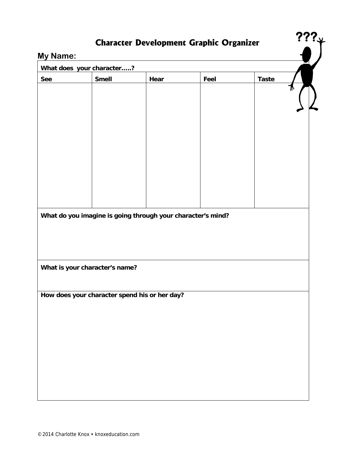### **Character Development Graphic Organizer**

**???** 

#### **My Name:**

| <b>See</b> | What does your character?<br><b>Smell</b> | Hear                                                        | Feel | <b>Taste</b> |  |
|------------|-------------------------------------------|-------------------------------------------------------------|------|--------------|--|
|            |                                           |                                                             |      |              |  |
|            |                                           |                                                             |      |              |  |
|            |                                           |                                                             |      |              |  |
|            |                                           |                                                             |      |              |  |
|            |                                           |                                                             |      |              |  |
|            |                                           |                                                             |      |              |  |
|            |                                           |                                                             |      |              |  |
|            |                                           |                                                             |      |              |  |
|            |                                           |                                                             |      |              |  |
|            |                                           |                                                             |      |              |  |
|            |                                           |                                                             |      |              |  |
|            |                                           |                                                             |      |              |  |
|            |                                           | What do you imagine is going through your character's mind? |      |              |  |
|            |                                           |                                                             |      |              |  |
|            |                                           |                                                             |      |              |  |
|            |                                           |                                                             |      |              |  |
|            |                                           |                                                             |      |              |  |
|            |                                           |                                                             |      |              |  |
|            |                                           |                                                             |      |              |  |
|            | What is your character's name?            |                                                             |      |              |  |
|            |                                           |                                                             |      |              |  |
|            |                                           | How does your character spend his or her day?               |      |              |  |
|            |                                           |                                                             |      |              |  |
|            |                                           |                                                             |      |              |  |
|            |                                           |                                                             |      |              |  |
|            |                                           |                                                             |      |              |  |
|            |                                           |                                                             |      |              |  |
|            |                                           |                                                             |      |              |  |
|            |                                           |                                                             |      |              |  |
|            |                                           |                                                             |      |              |  |